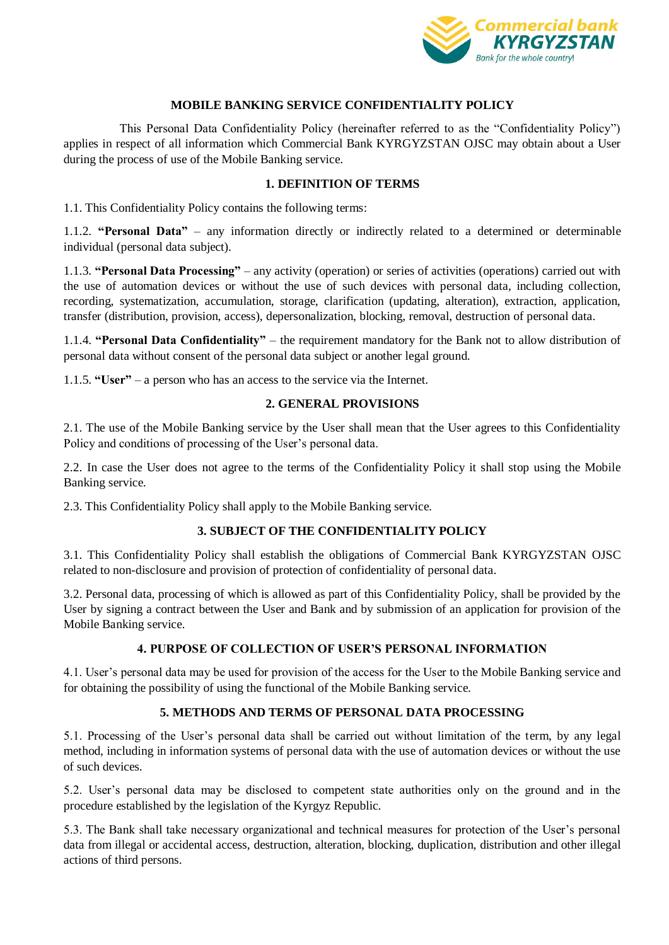

#### **MOBILE BANKING SERVICE CONFIDENTIALITY POLICY**

This Personal Data Confidentiality Policy (hereinafter referred to as the "Confidentiality Policy") applies in respect of all information which Commercial Bank KYRGYZSTAN OJSC may obtain about a User during the process of use of the Mobile Banking service.

#### **1. DEFINITION OF TERMS**

1.1. This Confidentiality Policy contains the following terms:

1.1.2. **"Personal Data"** – any information directly or indirectly related to a determined or determinable individual (personal data subject).

1.1.3. **"Personal Data Processing"** – any activity (operation) or series of activities (operations) carried out with the use of automation devices or without the use of such devices with personal data, including collection, recording, systematization, accumulation, storage, clarification (updating, alteration), extraction, application, transfer (distribution, provision, access), depersonalization, blocking, removal, destruction of personal data.

1.1.4. **"Personal Data Confidentiality"** – the requirement mandatory for the Bank not to allow distribution of personal data without consent of the personal data subject or another legal ground.

1.1.5. **"User"** – a person who has an access to the service via the Internet.

#### **2. GENERAL PROVISIONS**

2.1. The use of the Mobile Banking service by the User shall mean that the User agrees to this Confidentiality Policy and conditions of processing of the User's personal data.

2.2. In case the User does not agree to the terms of the Confidentiality Policy it shall stop using the Mobile Banking service.

2.3. This Confidentiality Policy shall apply to the Mobile Banking service.

## **3. SUBJECT OF THE CONFIDENTIALITY POLICY**

3.1. This Confidentiality Policy shall establish the obligations of Commercial Bank KYRGYZSTAN OJSC related to non-disclosure and provision of protection of confidentiality of personal data.

3.2. Personal data, processing of which is allowed as part of this Confidentiality Policy, shall be provided by the User by signing a contract between the User and Bank and by submission of an application for provision of the Mobile Banking service.

## **4. PURPOSE OF COLLECTION OF USER'S PERSONAL INFORMATION**

4.1. User's personal data may be used for provision of the access for the User to the Mobile Banking service and for obtaining the possibility of using the functional of the Mobile Banking service.

## **5. METHODS AND TERMS OF PERSONAL DATA PROCESSING**

5.1. Processing of the User's personal data shall be carried out without limitation of the term, by any legal method, including in information systems of personal data with the use of automation devices or without the use of such devices.

5.2. User's personal data may be disclosed to competent state authorities only on the ground and in the procedure established by the legislation of the Kyrgyz Republic.

5.3. The Bank shall take necessary organizational and technical measures for protection of the User's personal data from illegal or accidental access, destruction, alteration, blocking, duplication, distribution and other illegal actions of third persons.